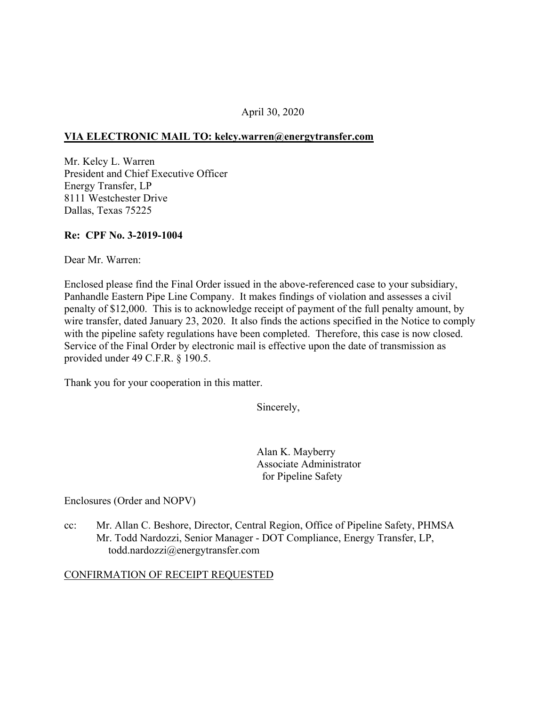# April 30, 2020

## **VIA ELECTRONIC MAIL TO: [kelcy.warren@energytransfer.com](mailto:kelcy.warren@energytransfer.com)**

Mr. Kelcy L. Warren President and Chief Executive Officer Energy Transfer, LP 8111 Westchester Drive Dallas, Texas 75225

## **Re: CPF No. 3-2019-1004**

Dear Mr. Warren:

Enclosed please find the Final Order issued in the above-referenced case to your subsidiary, Panhandle Eastern Pipe Line Company. It makes findings of violation and assesses a civil penalty of \$12,000. This is to acknowledge receipt of payment of the full penalty amount, by wire transfer, dated January 23, 2020. It also finds the actions specified in the Notice to comply with the pipeline safety regulations have been completed. Therefore, this case is now closed. Service of the Final Order by electronic mail is effective upon the date of transmission as provided under 49 C.F.R. § 190.5.

Thank you for your cooperation in this matter.

Sincerely,

Alan K. Mayberry Associate Administrator for Pipeline Safety

Enclosures (Order and NOPV)

cc: Mr. Allan C. Beshore, Director, Central Region, Office of Pipeline Safety, PHMSA Mr. Todd Nardozzi, Senior Manager - DOT Compliance, Energy Transfer, LP, [todd.nardozzi@energytransfer.com](mailto:todd.nardozzi@energytransfer.com)

#### CONFIRMATION OF RECEIPT REQUESTED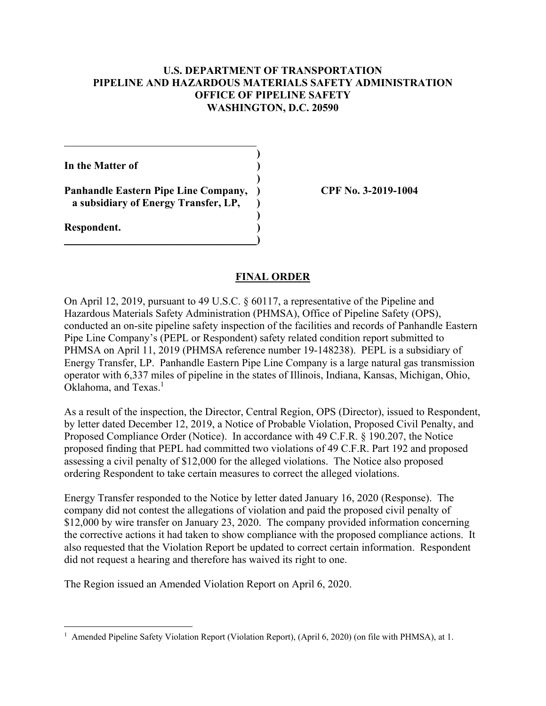# **U.S. DEPARTMENT OF TRANSPORTATION PIPELINE AND HAZARDOUS MATERIALS SAFETY ADMINISTRATION OFFICE OF PIPELINE SAFETY WASHINGTON, D.C. 20590**

**)** 

**)** 

**)** 

**In the Matter of )** 

**Panhandle Eastern Pipe Line Company, ) CPF No. 3-2019-1004 a subsidiary of Energy Transfer, LP, )** 

\_\_\_\_\_\_\_\_\_\_\_\_\_\_\_\_\_\_\_\_\_\_\_\_\_\_\_\_\_\_\_\_\_\_\_\_**)** 

**Respondent. )** 

## **FINAL ORDER**

Oklahoma, and Texas.<sup>1</sup> On April 12, 2019, pursuant to 49 U.S.C. § 60117, a representative of the Pipeline and Hazardous Materials Safety Administration (PHMSA), Office of Pipeline Safety (OPS), conducted an on-site pipeline safety inspection of the facilities and records of Panhandle Eastern Pipe Line Company's (PEPL or Respondent) safety related condition report submitted to PHMSA on April 11, 2019 (PHMSA reference number 19-148238). PEPL is a subsidiary of Energy Transfer, LP. Panhandle Eastern Pipe Line Company is a large natural gas transmission operator with 6,337 miles of pipeline in the states of Illinois, Indiana, Kansas, Michigan, Ohio,

As a result of the inspection, the Director, Central Region, OPS (Director), issued to Respondent, by letter dated December 12, 2019, a Notice of Probable Violation, Proposed Civil Penalty, and Proposed Compliance Order (Notice). In accordance with 49 C.F.R. § 190.207, the Notice proposed finding that PEPL had committed two violations of 49 C.F.R. Part 192 and proposed assessing a civil penalty of \$12,000 for the alleged violations. The Notice also proposed ordering Respondent to take certain measures to correct the alleged violations.

Energy Transfer responded to the Notice by letter dated January 16, 2020 (Response). The company did not contest the allegations of violation and paid the proposed civil penalty of \$12,000 by wire transfer on January 23, 2020. The company provided information concerning the corrective actions it had taken to show compliance with the proposed compliance actions. It also requested that the Violation Report be updated to correct certain information. Respondent did not request a hearing and therefore has waived its right to one.

The Region issued an Amended Violation Report on April 6, 2020.

<sup>1&</sup>lt;br>
<sup>1</sup> Amended Pipeline Safety Violation Report (Violation Report), (April 6, 2020) (on file with PHMSA), at 1.